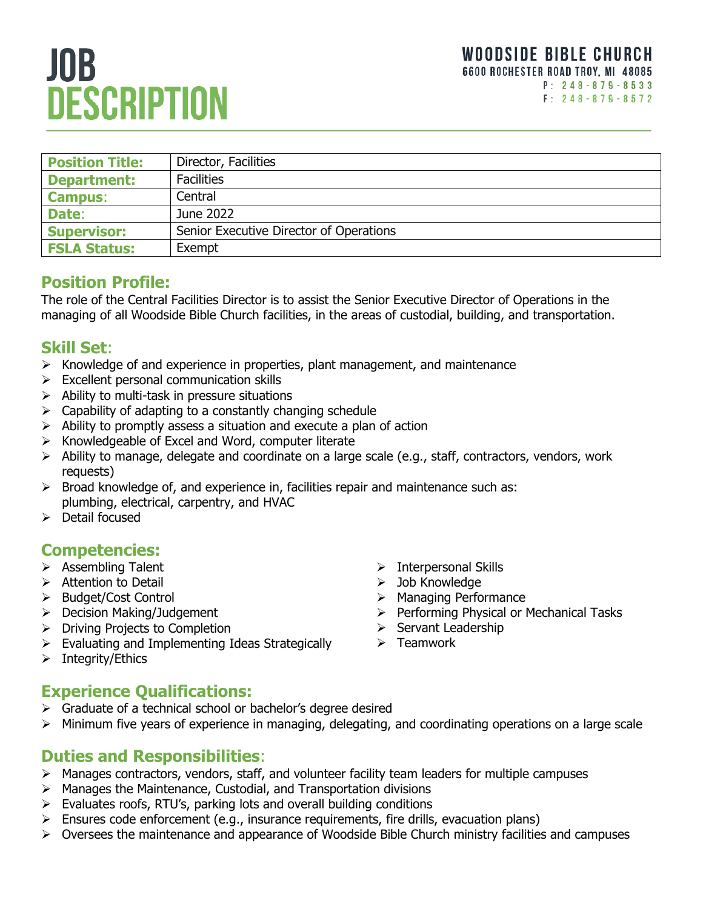# **JOB DESCRIPTION**

| <b>Position Title:</b> | Director, Facilities                    |
|------------------------|-----------------------------------------|
| <b>Department:</b>     | <b>Facilities</b>                       |
| <b>Campus:</b>         | Central                                 |
| Date:                  | June 2022                               |
| <b>Supervisor:</b>     | Senior Executive Director of Operations |
| <b>FSLA Status:</b>    | Exempt                                  |

### **Position Profile:**

The role of the Central Facilities Director is to assist the Senior Executive Director of Operations in the managing of all Woodside Bible Church facilities, in the areas of custodial, building, and transportation.

#### **Skill Set**:

- ➢ Knowledge of and experience in properties, plant management, and maintenance
- ➢ Excellent personal communication skills
- $\triangleright$  Ability to multi-task in pressure situations
- $\triangleright$  Capability of adapting to a constantly changing schedule
- $\triangleright$  Ability to promptly assess a situation and execute a plan of action
- ➢ Knowledgeable of Excel and Word, computer literate
- ➢ Ability to manage, delegate and coordinate on a large scale (e.g., staff, contractors, vendors, work requests)
- $\triangleright$  Broad knowledge of, and experience in, facilities repair and maintenance such as: plumbing, electrical, carpentry, and HVAC
- ➢ Detail focused

#### **Competencies:**

- ➢ Assembling Talent
- ➢ Attention to Detail
- ➢ Budget/Cost Control
- ➢ Decision Making/Judgement
- ➢ Driving Projects to Completion
- ➢ Evaluating and Implementing Ideas Strategically
- ➢ Integrity/Ethics
- ➢ Interpersonal Skills
- ➢ Job Knowledge
- ➢ Managing Performance
- ➢ Performing Physical or Mechanical Tasks
- ➢ Servant Leadership
- ➢ Teamwork

### **Experience Qualifications:**

- ➢ Graduate of a technical school or bachelor's degree desired
- ➢ Minimum five years of experience in managing, delegating, and coordinating operations on a large scale

#### **Duties and Responsibilities**:

- ➢ Manages contractors, vendors, staff, and volunteer facility team leaders for multiple campuses
- ➢ Manages the Maintenance, Custodial, and Transportation divisions
- ➢ Evaluates roofs, RTU's, parking lots and overall building conditions
- ➢ Ensures code enforcement (e.g., insurance requirements, fire drills, evacuation plans)
- ➢ Oversees the maintenance and appearance of Woodside Bible Church ministry facilities and campuses